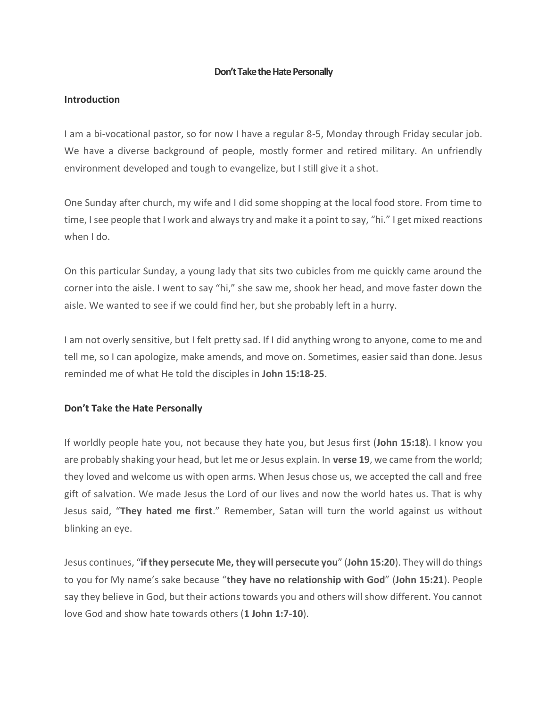### **Don't Take the Hate Personally**

### **Introduction**

I am a bi-vocational pastor, so for now I have a regular 8-5, Monday through Friday secular job. We have a diverse background of people, mostly former and retired military. An unfriendly environment developed and tough to evangelize, but I still give it a shot.

One Sunday after church, my wife and I did some shopping at the local food store. From time to time, I see people that I work and always try and make it a point to say, "hi." I get mixed reactions when I do.

On this particular Sunday, a young lady that sits two cubicles from me quickly came around the corner into the aisle. I went to say "hi," she saw me, shook her head, and move faster down the aisle. We wanted to see if we could find her, but she probably left in a hurry.

I am not overly sensitive, but I felt pretty sad. If I did anything wrong to anyone, come to me and tell me, so I can apologize, make amends, and move on. Sometimes, easier said than done. Jesus reminded me of what He told the disciples in **John 15:18-25**.

### **Don't Take the Hate Personally**

If worldly people hate you, not because they hate you, but Jesus first (**John 15:18**). I know you are probably shaking your head, but let me or Jesus explain. In **verse 19**, we came from the world; they loved and welcome us with open arms. When Jesus chose us, we accepted the call and free gift of salvation. We made Jesus the Lord of our lives and now the world hates us. That is why Jesus said, "**They hated me first**." Remember, Satan will turn the world against us without blinking an eye.

Jesus continues, "**if they persecute Me, they will persecute you**" (**John 15:20**). They will do things to you for My name's sake because "**they have no relationship with God**" (**John 15:21**). People say they believe in God, but their actions towards you and others will show different. You cannot love God and show hate towards others (**1 John 1:7-10**).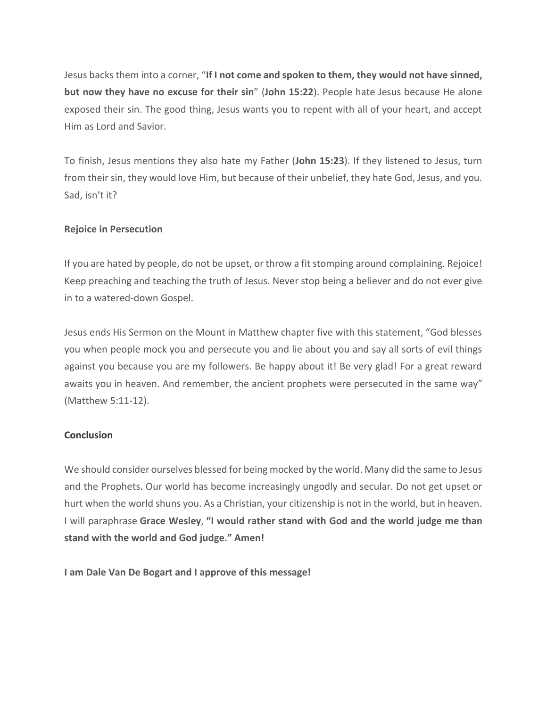Jesus backs them into a corner, "**If I not come and spoken to them, they would not have sinned, but now they have no excuse for their sin**" (**John 15:22**). People hate Jesus because He alone exposed their sin. The good thing, Jesus wants you to repent with all of your heart, and accept Him as Lord and Savior.

To finish, Jesus mentions they also hate my Father (**John 15:23**). If they listened to Jesus, turn from their sin, they would love Him, but because of their unbelief, they hate God, Jesus, and you. Sad, isn't it?

# **Rejoice in Persecution**

If you are hated by people, do not be upset, or throw a fit stomping around complaining. Rejoice! Keep preaching and teaching the truth of Jesus. Never stop being a believer and do not ever give in to a watered-down Gospel.

Jesus ends His Sermon on the Mount in Matthew chapter five with this statement, "God blesses you when people mock you and persecute you and lie about you and say all sorts of evil things against you because you are my followers. Be happy about it! Be very glad! For a great reward awaits you in heaven. And remember, the ancient prophets were persecuted in the same way" (Matthew 5:11-12).

# **Conclusion**

We should consider ourselves blessed for being mocked by the world. Many did the same to Jesus and the Prophets. Our world has become increasingly ungodly and secular. Do not get upset or hurt when the world shuns you. As a Christian, your citizenship is not in the world, but in heaven. I will paraphrase **Grace Wesley**, **"I would rather stand with God and the world judge me than stand with the world and God judge." Amen!**

**I am Dale Van De Bogart and I approve of this message!**